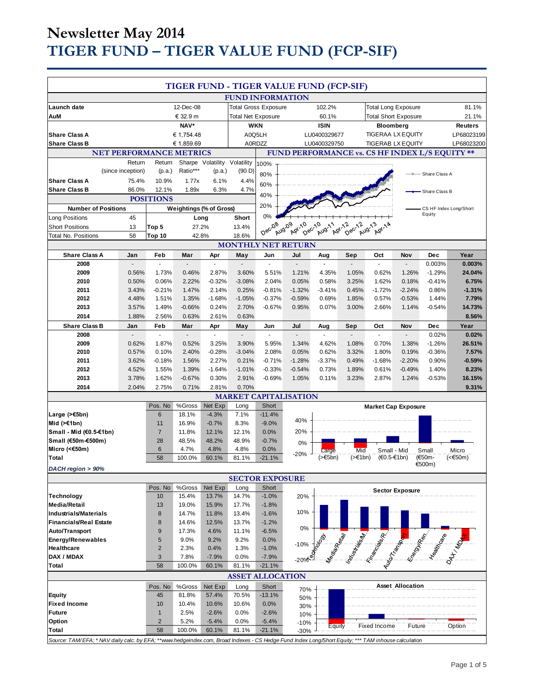# **Newsletter May 2014 TIGER FUND – TIGER VALUE FUND (FCP-SIF)**

|                                                                                                                                                     |                          |                                |                         |                              |                         |                             | TIGER FUND - TIGER VALUE FUND (FCP-SIF) |                            |                   |                                                                                                                                                                                                                                      |                          |                                  |                   |
|-----------------------------------------------------------------------------------------------------------------------------------------------------|--------------------------|--------------------------------|-------------------------|------------------------------|-------------------------|-----------------------------|-----------------------------------------|----------------------------|-------------------|--------------------------------------------------------------------------------------------------------------------------------------------------------------------------------------------------------------------------------------|--------------------------|----------------------------------|-------------------|
|                                                                                                                                                     |                          |                                |                         |                              |                         |                             | <b>FUND INFORMATION</b>                 |                            |                   |                                                                                                                                                                                                                                      |                          |                                  |                   |
| Launch date                                                                                                                                         |                          |                                | 12-Dec-08               |                              |                         | <b>Total Gross Exposure</b> |                                         | 102.2%                     |                   | <b>Total Long Exposure</b>                                                                                                                                                                                                           |                          |                                  | 81.1%             |
| AuM                                                                                                                                                 |                          |                                | € 32.9 m                |                              |                         | <b>Total Net Exposure</b>   |                                         | 60.1%                      |                   | <b>Total Short Exposure</b>                                                                                                                                                                                                          |                          |                                  | 21.1%             |
|                                                                                                                                                     |                          |                                | NAV*                    |                              |                         | <b>WKN</b>                  |                                         | <b>ISIN</b>                |                   | <b>Bloomberg</b>                                                                                                                                                                                                                     |                          |                                  | <b>Reuters</b>    |
| <b>Share Class A</b>                                                                                                                                |                          |                                | € 1,754.48              |                              |                         | A0Q5LH                      |                                         | LU0400329677               |                   | <b>TIGERAA LX EQUITY</b>                                                                                                                                                                                                             |                          |                                  | LP68023199        |
| <b>Share Class B</b>                                                                                                                                |                          |                                | € 1,859.69              |                              |                         | A0RDZZ                      |                                         | LU0400329750               |                   | <b>TIGERAB LX EQUITY</b>                                                                                                                                                                                                             |                          |                                  | LP68023200        |
| <b>NET PERFORMANCE METRICS</b><br>FUND PERFORMANCE vs. CS HF INDEX L/S EQUITY **                                                                    |                          |                                |                         |                              |                         |                             |                                         |                            |                   |                                                                                                                                                                                                                                      |                          |                                  |                   |
|                                                                                                                                                     | Return                   | Return                         |                         | Sharpe Volatility Volatility |                         | 100%                        |                                         |                            |                   |                                                                                                                                                                                                                                      |                          |                                  |                   |
|                                                                                                                                                     | (since inception)        | (p.a.)                         | Ratio***                | (p.a.)                       | (90 D)                  | 80%                         |                                         |                            |                   |                                                                                                                                                                                                                                      |                          | Share Class A                    |                   |
| <b>Share Class A</b>                                                                                                                                | 75.4%                    | 10.9%                          | 1.77x                   | 6.1%                         | 4.4%                    | 60%                         |                                         |                            |                   |                                                                                                                                                                                                                                      |                          |                                  |                   |
| <b>Share Class B</b>                                                                                                                                | 86.0%                    | 12.1%                          | 1.89x                   | 6.3%                         | 4.7%                    | 40%                         |                                         |                            |                   |                                                                                                                                                                                                                                      |                          | - Share Class B                  |                   |
|                                                                                                                                                     |                          | <b>POSITIONS</b>               |                         |                              |                         | 20%                         |                                         |                            |                   |                                                                                                                                                                                                                                      |                          |                                  |                   |
| <b>Number of Positions</b>                                                                                                                          |                          |                                | Weightings (% of Gross) |                              |                         | 0%                          |                                         |                            |                   |                                                                                                                                                                                                                                      |                          | CS HF Index Long/Short<br>Equity |                   |
| <b>Long Positions</b>                                                                                                                               | 45                       |                                | Long                    |                              | Short                   |                             |                                         |                            |                   |                                                                                                                                                                                                                                      |                          |                                  |                   |
| <b>Short Positions</b>                                                                                                                              | 13                       | Top 5                          | 27.2%                   |                              | 13.4%                   | Dec <sub>08</sub>           | Aug-09<br>Apr-10<br>Dec-10              | Aug-11                     | Apr-12<br>Dec-12  | Aug-13<br>Apr-14                                                                                                                                                                                                                     |                          |                                  |                   |
| Total No. Positions                                                                                                                                 | 58                       | Top 10                         | 42.8%                   |                              | 18.6%                   |                             |                                         |                            |                   |                                                                                                                                                                                                                                      |                          |                                  |                   |
| <b>Share Class A</b>                                                                                                                                | Jan                      | Feb                            | Mar                     | Apr                          | May                     | Jun                         | <b>MONTHLY NET RETURN</b><br>Jul        | Aug                        | Sep               | Oct                                                                                                                                                                                                                                  | Nov                      | Dec                              | Year              |
| 2008                                                                                                                                                | $\overline{\phantom{a}}$ | ÷,                             | $\blacksquare$          | $\blacksquare$               | $\blacksquare$          | ÷.                          | $\blacksquare$                          | $\sim$                     |                   | ÷.                                                                                                                                                                                                                                   | $\blacksquare$           | 0.003%                           | 0.003%            |
| 2009                                                                                                                                                | 0.56%                    | 1.73%                          | 0.46%                   | 2.87%                        | 3.60%                   | 5.51%                       | 1.21%                                   | 4.35%                      | 1.05%             | 0.62%                                                                                                                                                                                                                                | 1.26%                    | $-1.29%$                         | 24.04%            |
| 2010                                                                                                                                                | 0.50%                    | 0.06%                          | 2.22%                   | $-0.32%$                     | $-3.08%$                | 2.04%                       | 0.05%                                   | 0.58%                      | 3.25%             | 1.62%                                                                                                                                                                                                                                | 0.18%                    | $-0.41%$                         | 6.75%             |
| 2011                                                                                                                                                | 3.43%                    | $-0.21%$                       | 1.47%                   | 2.14%                        | 0.25%                   | $-0.81%$                    | $-1.32%$                                | $-3.41%$                   | 0.45%             | $-1.72%$                                                                                                                                                                                                                             | $-2.24%$                 | 0.86%                            | $-1.31%$          |
| 2012                                                                                                                                                | 4.48%                    | 1.51%                          | 1.35%                   | $-1.68%$                     | $-1.05%$                | $-0.37%$                    | $-0.59%$                                | 0.69%                      | 1.85%             | 0.57%                                                                                                                                                                                                                                | $-0.53%$                 | 1.44%                            | 7.79%             |
| 2013                                                                                                                                                | 3.57%                    | 1.49%                          | $-0.66%$                | 0.24%                        | 2.70%                   | $-0.67%$                    | 0.95%                                   | 0.07%                      | 3.00%             | 2.66%                                                                                                                                                                                                                                | 1.14%                    | $-0.54%$                         | 14.73%            |
| 2014                                                                                                                                                | 1.88%                    | 2.56%                          | 0.63%                   | 2.61%                        | 0.63%                   |                             |                                         |                            |                   |                                                                                                                                                                                                                                      |                          |                                  | 8.56%             |
| <b>Share Class B</b>                                                                                                                                | Jan                      | Feb                            | Mar                     | Apr                          | May                     | Jun                         | Jul                                     | Aug                        | Sep               | Oct                                                                                                                                                                                                                                  | Nov                      | Dec                              | Year              |
| 2008                                                                                                                                                |                          | $\omega$                       | $\Box$                  | ä,                           | $\blacksquare$          | $\blacksquare$              | L.                                      | ÷.                         | ÷.                | ä,                                                                                                                                                                                                                                   | $\overline{\phantom{a}}$ | 0.02%                            | 0.02%             |
| 2009                                                                                                                                                | 0.62%                    | 1.87%                          | 0.52%                   | 3.25%                        | 3.90%                   | 5.95%                       | 1.34%                                   | 4.62%                      | 1.08%             | 0.70%                                                                                                                                                                                                                                | 1.38%                    | $-1.26%$                         | 26.51%            |
| 2010<br>2011                                                                                                                                        | 0.57%<br>3.62%           | 0.10%<br>$-0.18%$              | 2.40%<br>1.56%          | $-0.28%$<br>2.27%            | $-3.04%$<br>0.21%       | 2.08%<br>$-0.71%$           | 0.05%<br>$-1.28%$                       | 0.62%<br>$-3.37%$          | 3.32%<br>0.49%    | 1.80%<br>$-1.68%$                                                                                                                                                                                                                    | 0.19%<br>$-2.20%$        | $-0.36%$<br>0.90%                | 7.57%<br>$-0.59%$ |
| 2012                                                                                                                                                | 4.52%                    | 1.55%                          | 1.39%                   | $-1.64%$                     | $-1.01%$                | $-0.33%$                    | $-0.54%$                                | 0.73%                      | 1.89%             | 0.61%                                                                                                                                                                                                                                | $-0.49%$                 | 1.40%                            | 8.23%             |
| 2013                                                                                                                                                | 3.78%                    | 1.62%                          | $-0.67%$                | 0.30%                        | 2.91%                   | $-0.69%$                    | 1.05%                                   | 0.11%                      | 3.23%             | 2.87%                                                                                                                                                                                                                                | 1.24%                    | $-0.53%$                         | 16.15%            |
| 2014                                                                                                                                                | 2.04%                    | 2.75%                          | 0.71%                   | 2.81%                        | 0.70%                   |                             |                                         |                            |                   |                                                                                                                                                                                                                                      |                          |                                  | 9.31%             |
|                                                                                                                                                     |                          |                                |                         |                              |                         |                             | <b>MARKET CAPITALISATION</b>            |                            |                   |                                                                                                                                                                                                                                      |                          |                                  |                   |
|                                                                                                                                                     |                          | Pos. No                        | %Gross                  | Net Exp                      | Long                    | Short                       |                                         |                            |                   | <b>Market Cap Exposure</b>                                                                                                                                                                                                           |                          |                                  |                   |
| Large $($ > €5bn)                                                                                                                                   |                          | 6                              | 18.1%                   | $-4.3%$                      | 7.1%                    | $-11.4%$                    |                                         |                            |                   |                                                                                                                                                                                                                                      |                          |                                  |                   |
| Mid $($ > $€1bn)$                                                                                                                                   |                          | 11                             | 16.9%                   | $-0.7%$                      | 8.3%                    | $-9.0%$                     | 40%                                     |                            |                   |                                                                                                                                                                                                                                      |                          |                                  |                   |
| Small - Mid (€0.5-€1bn)                                                                                                                             |                          | 7                              | 11.8%                   | 12.1%                        | 12.1%                   | 0.0%                        | 20%                                     |                            |                   |                                                                                                                                                                                                                                      |                          |                                  |                   |
| Small (€50m-€500m)                                                                                                                                  |                          | 28                             | 48.5%                   | 48.2%                        | 48.9%                   | $-0.7%$                     | 0%                                      |                            |                   |                                                                                                                                                                                                                                      |                          |                                  |                   |
| Micro (<€50m)<br>Total                                                                                                                              |                          | 6<br>58                        | 4.7%<br>100.0%          | 4.8%<br>60.1%                | 4.8%<br>81.1%           | 0.0%<br>$-21.1%$            | $-20%$                                  | Large<br>$(>\epsilon$ 5bn) | Mid<br>$($ >€1bn) | Small - Mid<br>(€0.5-€1bn)                                                                                                                                                                                                           |                          | Small<br>(€50m-                  | Micro<br>(<€50m)  |
|                                                                                                                                                     |                          |                                |                         |                              |                         |                             |                                         |                            |                   |                                                                                                                                                                                                                                      |                          | €500m)                           |                   |
| DACH region > 90%<br><b>SECTOR EXPOSURE</b>                                                                                                         |                          |                                |                         |                              |                         |                             |                                         |                            |                   |                                                                                                                                                                                                                                      |                          |                                  |                   |
|                                                                                                                                                     |                          | Pos. No                        | %Gross                  | Net Exp                      | Long                    | Short                       |                                         |                            |                   |                                                                                                                                                                                                                                      |                          |                                  |                   |
| <b>Technology</b>                                                                                                                                   |                          | 10                             | 15.4%                   | 13.7%                        | 14.7%                   | $-1.0%$                     | 20%                                     |                            |                   |                                                                                                                                                                                                                                      | <b>Sector Exposure</b>   |                                  |                   |
| <b>Media/Retail</b>                                                                                                                                 |                          | 13                             | 19.0%                   | 15.9%                        | 17.7%                   | $-1.8%$                     |                                         |                            |                   |                                                                                                                                                                                                                                      |                          |                                  |                   |
| <b>Industrials/Materials</b>                                                                                                                        |                          | 8                              | 14.7%                   | 11.8%                        | 13.4%                   | $-1.6%$                     | 10%                                     |                            |                   |                                                                                                                                                                                                                                      |                          |                                  |                   |
| <b>Financials/Real Estate</b>                                                                                                                       |                          | 8                              | 14.6%                   | 12.5%                        | 13.7%                   | $-1.2%$                     |                                         |                            |                   |                                                                                                                                                                                                                                      |                          |                                  |                   |
| <b>Auto/Transport</b>                                                                                                                               |                          | 9                              | 17.3%                   | 4.6%                         | 11.1%                   | $-6.5%$                     | 0%                                      |                            |                   |                                                                                                                                                                                                                                      |                          |                                  |                   |
| <b>Energy/Renewables</b>                                                                                                                            |                          | 5                              | 9.0%                    | 9.2%                         | 9.2%                    | 0.0%                        | $-10%$                                  |                            |                   |                                                                                                                                                                                                                                      |                          |                                  |                   |
| Healthcare                                                                                                                                          |                          | $\overline{\mathbf{c}}$        | 2.3%                    | 0.4%                         | 1.3%                    | $-1.0%$                     |                                         |                            |                   |                                                                                                                                                                                                                                      |                          |                                  |                   |
| DAX / MDAX                                                                                                                                          |                          | 3                              | 7.8%                    | $-7.9%$                      | 0.0%                    | $-7.9%$                     | $-20%$                                  |                            |                   | <b>This Company of the Company of the Company of the Company of the Company of the Company of the Company of the Company of the Company of the Company of the Company of the Company of the Company of the Company of the Compan</b> |                          |                                  |                   |
| Total                                                                                                                                               |                          | 58                             | 100.0%                  | 60.1%                        | 81.1%                   | $-21.1%$                    |                                         |                            |                   |                                                                                                                                                                                                                                      |                          |                                  |                   |
|                                                                                                                                                     |                          |                                |                         |                              | <b>ASSET ALLOCATION</b> |                             |                                         |                            |                   |                                                                                                                                                                                                                                      |                          |                                  |                   |
|                                                                                                                                                     |                          | Pos. No                        | %Gross                  | Net Exp                      | Long                    | Short                       | 70%                                     |                            |                   |                                                                                                                                                                                                                                      | <b>Asset Allocation</b>  |                                  |                   |
| <b>Equity</b>                                                                                                                                       |                          | 45                             | 81.8%                   | 57.4%                        | 70.5%                   | $-13.1%$                    | 50%                                     |                            |                   |                                                                                                                                                                                                                                      |                          |                                  |                   |
| <b>Fixed Income</b>                                                                                                                                 |                          | 10                             | 10.4%                   | 10.6%                        | 10.6%                   | 0.0%                        | 30%                                     |                            |                   |                                                                                                                                                                                                                                      |                          |                                  |                   |
| <b>Future</b>                                                                                                                                       |                          | $\mathbf{1}$<br>$\overline{2}$ | 2.5%                    | $-2.6%$                      | 0.0%                    | $-2.6%$                     | 10%                                     |                            |                   |                                                                                                                                                                                                                                      |                          |                                  |                   |
| Option<br>Total                                                                                                                                     |                          | 58                             | 5.2%<br>100.0%          | $-5.4%$<br>60.1%             | 0.0%<br>81.1%           | $-5.4%$<br>$-21.1%$         | $-10%$                                  | Equity                     |                   | Fixed Income                                                                                                                                                                                                                         | Future                   |                                  | Option            |
| Source: TAM/EFA; * NAV daily calc. by EFA; **www.hedgeindex.com, Broad Indexes - CS Hedge Fund Index Long/Short Equity; *** TAM inhouse calculation |                          |                                |                         |                              |                         |                             | $-30%$                                  |                            |                   |                                                                                                                                                                                                                                      |                          |                                  |                   |
|                                                                                                                                                     |                          |                                |                         |                              |                         |                             |                                         |                            |                   |                                                                                                                                                                                                                                      |                          |                                  |                   |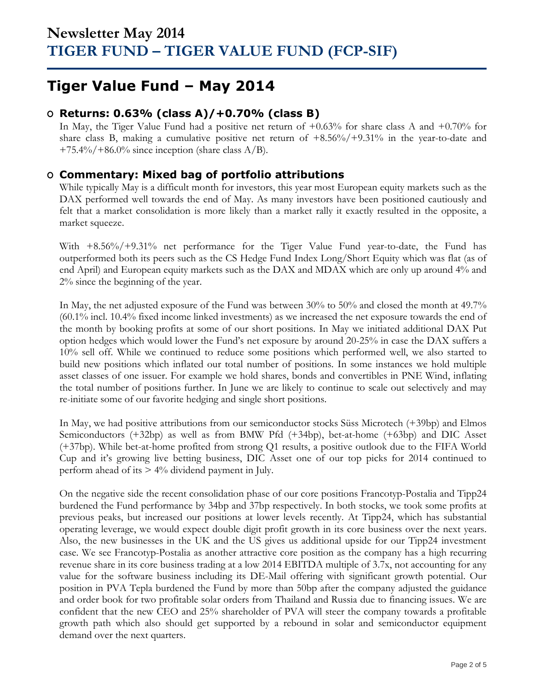## **Tiger Value Fund – May 2014**

## **O Returns: 0.63% (class A)/+0.70% (class B)**

In May, the Tiger Value Fund had a positive net return of +0.63% for share class A and +0.70% for share class B, making a cumulative positive net return of +8.56%/+9.31% in the year-to-date and  $+75.4\%/+86.0\%$  since inception (share class A/B).

### **O Commentary: Mixed bag of portfolio attributions**

While typically May is a difficult month for investors, this year most European equity markets such as the DAX performed well towards the end of May. As many investors have been positioned cautiously and felt that a market consolidation is more likely than a market rally it exactly resulted in the opposite, a market squeeze.

With +8.56%/+9.31% net performance for the Tiger Value Fund year-to-date, the Fund has outperformed both its peers such as the CS Hedge Fund Index Long/Short Equity which was flat (as of end April) and European equity markets such as the DAX and MDAX which are only up around 4% and 2% since the beginning of the year.

In May, the net adjusted exposure of the Fund was between 30% to 50% and closed the month at 49.7% (60.1% incl. 10.4% fixed income linked investments) as we increased the net exposure towards the end of the month by booking profits at some of our short positions. In May we initiated additional DAX Put option hedges which would lower the Fund's net exposure by around 20-25% in case the DAX suffers a 10% sell off. While we continued to reduce some positions which performed well, we also started to build new positions which inflated our total number of positions. In some instances we hold multiple asset classes of one issuer. For example we hold shares, bonds and convertibles in PNE Wind, inflating the total number of positions further. In June we are likely to continue to scale out selectively and may re-initiate some of our favorite hedging and single short positions.

In May, we had positive attributions from our semiconductor stocks Süss Microtech (+39bp) and Elmos Semiconductors (+32bp) as well as from BMW Pfd (+34bp), bet-at-home (+63bp) and DIC Asset (+37bp). While bet-at-home profited from strong Q1 results, a positive outlook due to the FIFA World Cup and it's growing live betting business, DIC Asset one of our top picks for 2014 continued to perform ahead of its > 4% dividend payment in July.

On the negative side the recent consolidation phase of our core positions Francotyp-Postalia and Tipp24 burdened the Fund performance by 34bp and 37bp respectively. In both stocks, we took some profits at previous peaks, but increased our positions at lower levels recently. At Tipp24, which has substantial operating leverage, we would expect double digit profit growth in its core business over the next years. Also, the new businesses in the UK and the US gives us additional upside for our Tipp24 investment case. We see Francotyp-Postalia as another attractive core position as the company has a high recurring revenue share in its core business trading at a low 2014 EBITDA multiple of 3.7x, not accounting for any value for the software business including its DE-Mail offering with significant growth potential. Our position in PVA Tepla burdened the Fund by more than 50bp after the company adjusted the guidance and order book for two profitable solar orders from Thailand and Russia due to financing issues. We are confident that the new CEO and 25% shareholder of PVA will steer the company towards a profitable growth path which also should get supported by a rebound in solar and semiconductor equipment demand over the next quarters.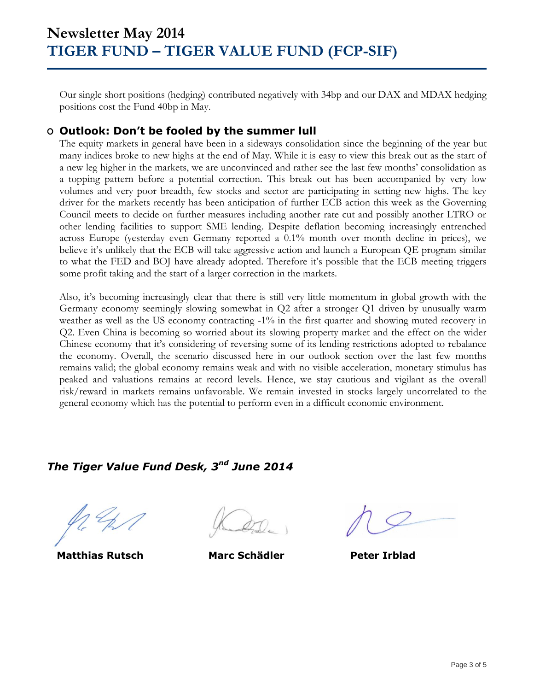Our single short positions (hedging) contributed negatively with 34bp and our DAX and MDAX hedging positions cost the Fund 40bp in May.

### **O Outlook: Don't be fooled by the summer lull**

The equity markets in general have been in a sideways consolidation since the beginning of the year but many indices broke to new highs at the end of May. While it is easy to view this break out as the start of a new leg higher in the markets, we are unconvinced and rather see the last few months' consolidation as a topping pattern before a potential correction. This break out has been accompanied by very low volumes and very poor breadth, few stocks and sector are participating in setting new highs. The key driver for the markets recently has been anticipation of further ECB action this week as the Governing Council meets to decide on further measures including another rate cut and possibly another LTRO or other lending facilities to support SME lending. Despite deflation becoming increasingly entrenched across Europe (yesterday even Germany reported a 0.1% month over month decline in prices), we believe it's unlikely that the ECB will take aggressive action and launch a European QE program similar to what the FED and BOJ have already adopted. Therefore it's possible that the ECB meeting triggers some profit taking and the start of a larger correction in the markets.

Also, it's becoming increasingly clear that there is still very little momentum in global growth with the Germany economy seemingly slowing somewhat in Q2 after a stronger Q1 driven by unusually warm weather as well as the US economy contracting -1% in the first quarter and showing muted recovery in Q2. Even China is becoming so worried about its slowing property market and the effect on the wider Chinese economy that it's considering of reversing some of its lending restrictions adopted to rebalance the economy. Overall, the scenario discussed here in our outlook section over the last few months remains valid; the global economy remains weak and with no visible acceleration, monetary stimulus has peaked and valuations remains at record levels. Hence, we stay cautious and vigilant as the overall risk/reward in markets remains unfavorable. We remain invested in stocks largely uncorrelated to the general economy which has the potential to perform even in a difficult economic environment.

## *The Tiger Value Fund Desk, 3 nd June 2014*

 **Matthias Rutsch Marc Schädler Peter Irblad**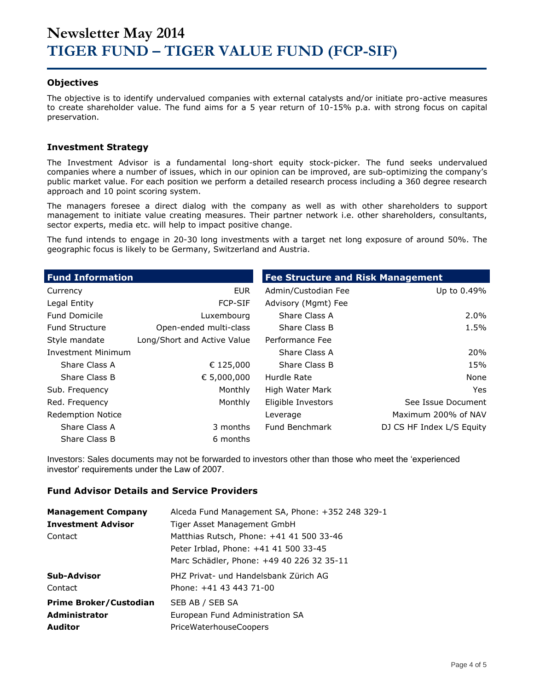#### **Objectives**

The objective is to identify undervalued companies with external catalysts and/or initiate pro-active measures to create shareholder value. The fund aims for a 5 year return of 10-15% p.a. with strong focus on capital preservation.

#### **Investment Strategy**

The Investment Advisor is a fundamental long-short equity stock-picker. The fund seeks undervalued companies where a number of issues, which in our opinion can be improved, are sub-optimizing the company's public market value. For each position we perform a detailed research process including a 360 degree research approach and 10 point scoring system.

The managers foresee a direct dialog with the company as well as with other shareholders to support management to initiate value creating measures. Their partner network i.e. other shareholders, consultants, sector experts, media etc. will help to impact positive change.

The fund intends to engage in 20-30 long investments with a target net long exposure of around 50%. The geographic focus is likely to be Germany, Switzerland and Austria.

| <b>Fund Information</b>   |                             | <b>Fee Structure and Risk Management</b> |                           |
|---------------------------|-----------------------------|------------------------------------------|---------------------------|
| Currency                  | <b>EUR</b>                  | Admin/Custodian Fee                      | Up to 0.49%               |
| Legal Entity              | <b>FCP-SIF</b>              | Advisory (Mgmt) Fee                      |                           |
| <b>Fund Domicile</b>      | Luxembourg                  | Share Class A                            | $2.0\%$                   |
| <b>Fund Structure</b>     | Open-ended multi-class      | Share Class B                            | 1.5%                      |
| Style mandate             | Long/Short and Active Value | Performance Fee                          |                           |
| <b>Investment Minimum</b> |                             | Share Class A                            | 20%                       |
| Share Class A             | € 125,000                   | Share Class B                            | 15%                       |
| Share Class B             | € 5,000,000                 | Hurdle Rate                              | None                      |
| Sub. Frequency            | Monthly                     | High Water Mark                          | Yes.                      |
| Red. Frequency            | Monthly                     | Eligible Investors                       | See Issue Document        |
| <b>Redemption Notice</b>  |                             | Leverage                                 | Maximum 200% of NAV       |
| Share Class A             | 3 months                    | Fund Benchmark                           | DJ CS HF Index L/S Equity |
| Share Class B             | 6 months                    |                                          |                           |

Investors: Sales documents may not be forwarded to investors other than those who meet the 'experienced investor' requirements under the Law of 2007.

#### **Fund Advisor Details and Service Providers**

| <b>Management Company</b>     | Alceda Fund Management SA, Phone: +352 248 329-1 |
|-------------------------------|--------------------------------------------------|
| <b>Investment Advisor</b>     | Tiger Asset Management GmbH                      |
| Contact                       | Matthias Rutsch, Phone: +41 41 500 33-46         |
|                               | Peter Irblad, Phone: +41 41 500 33-45            |
|                               | Marc Schädler, Phone: +49 40 226 32 35-11        |
| Sub-Advisor                   | PHZ Privat- und Handelsbank Zürich AG            |
| Contact                       | Phone: +41 43 443 71-00                          |
| <b>Prime Broker/Custodian</b> | SEB AB / SEB SA                                  |
| <b>Administrator</b>          | European Fund Administration SA                  |
| <b>Auditor</b>                | <b>PriceWaterhouseCoopers</b>                    |